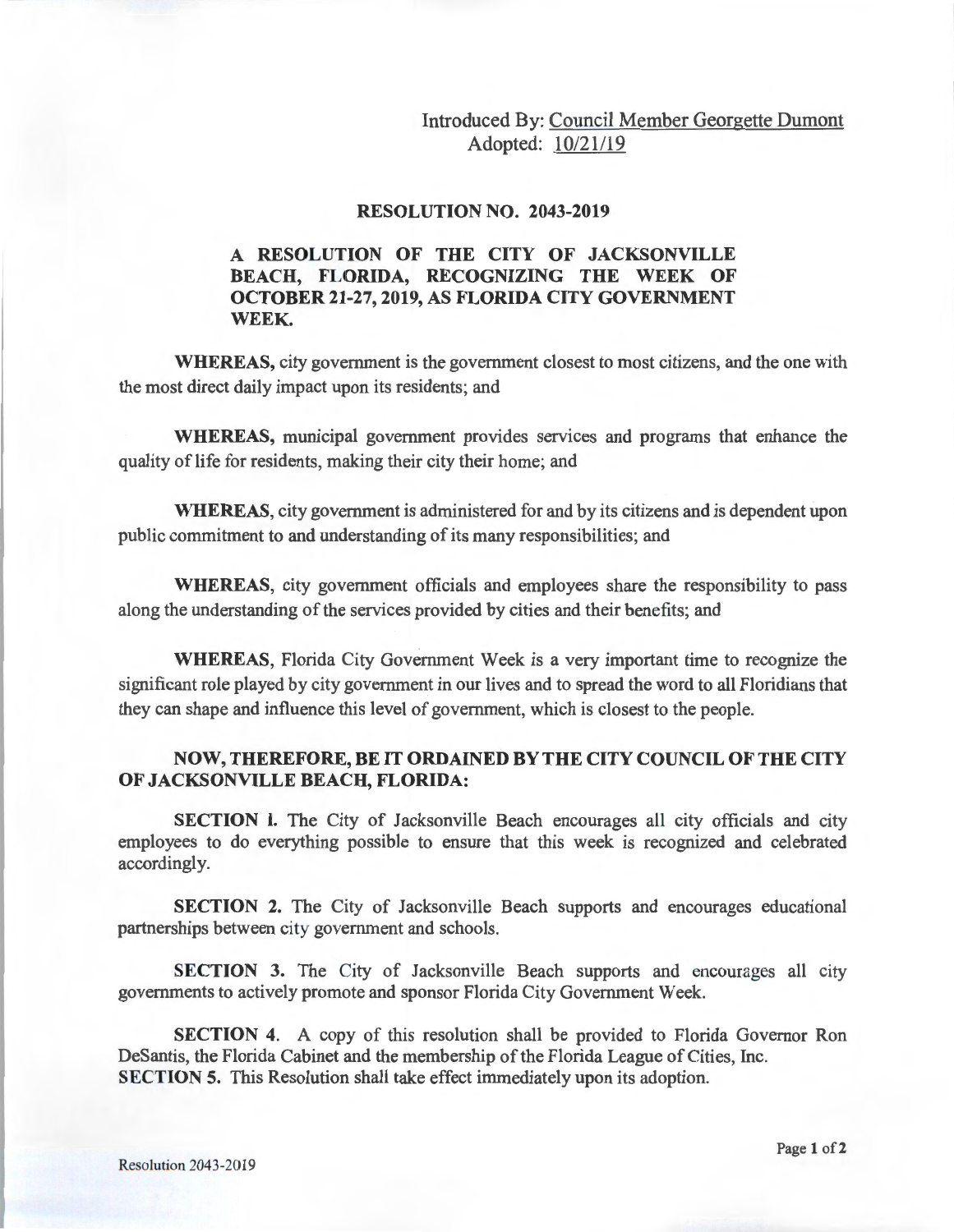Introduced By: Council Member Georgette Dumont Adopted: 10/21/19

## **RESOLUTION NO. 2043-2019**

## **A RESOLUTION OF THE CITY OF JACKSONVILLE BEACH, FLORIDA, RECOGNIZING THE WEEK OF OCTOBER 21-27, 2019, AS FLORIDA CITY GOVERNMENT WEEK.**

**WHEREAS,** city government is the government closest to most citizens, and the one with the most direct daily impact upon its residents; and

**WHEREAS,** municipal government provides services and programs that enhance the quality of life for residents, making their city their home; and

**WHEREAS,** city government is administered for and by its citizens and is dependent upon public commitment to and understanding of its many responsibilities; and

**WHEREAS,** city government officials and employees share the responsibility to pass along the understanding of the services provided by cities and their benefits; and

**WHEREAS,** Florida City Government Week is a very important time to recognize the significant role played by city government in our lives and to spread the word to all Floridians that they can shape and influence this level of government, which is closest to the people.

## **NOW, THEREFORE, BE IT ORDAINED BY THE CITY COUNCIL OF THE CITY OF JACKSONVILLE BEACH, FLORIDA:**

**SECTION 1.** The City of Jacksonville Beach encourages all city officials and city employees to do everything possible to ensure that this week is recognized and celebrated accordingly.

**SECTION 2.** The City of Jacksonville Beach supports and encourages educational partnerships between city government and schools.

**SECTION 3.** The City of Jacksonville Beach supports and encourages all city governments to actively promote and sponsor Florida City Government Week.

**SECTION 4.** A copy of this resolution shall be provided to Florida Governor Ron Desantis, the Florida Cabinet and the membership of the Florida League of Cities, Inc. **SECTION 5.** This Resolution shall take effect immediately upon its adoption.